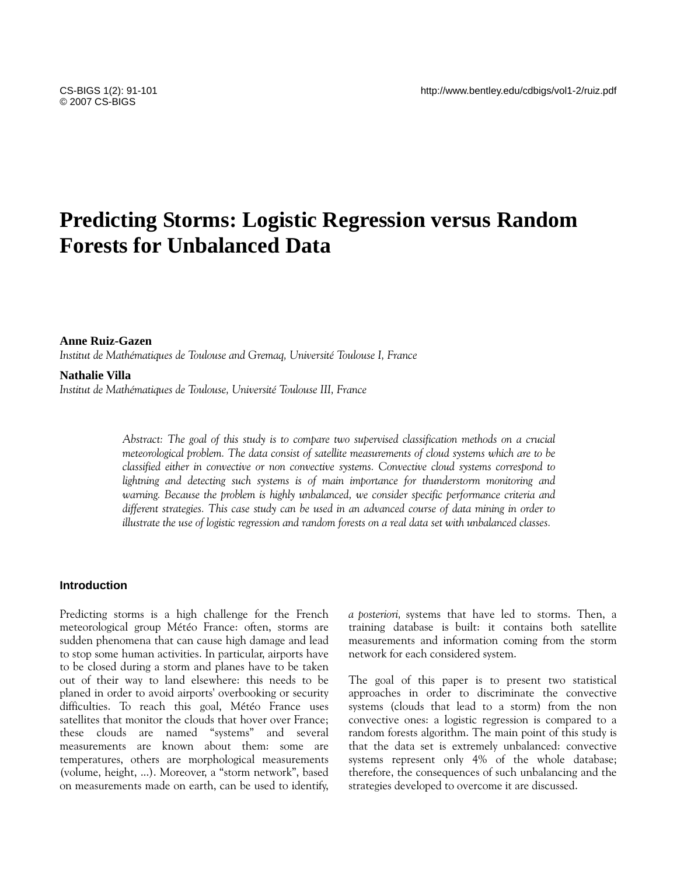# **Predicting Storms: Logistic Regression versus Random Forests for Unbalanced Data**

### **Anne Ruiz-Gazen**

*Institut de Mathématiques de Toulouse and Gremaq, Université Toulouse I, France* 

**Nathalie Villa** 

*Institut de Mathématiques de Toulouse, Université Toulouse III, France* 

*Abstract: The goal of this study is to compare two supervised classification methods on a crucial meteorological problem. The data consist of satellite measurements of cloud systems which are to be classified either in convective or non convective systems. Convective cloud systems correspond to lightning and detecting such systems is of main importance for thunderstorm monitoring and warning. Because the problem is highly unbalanced, we consider specific performance criteria and different strategies. This case study can be used in an advanced course of data mining in order to illustrate the use of logistic regression and random forests on a real data set with unbalanced classes.* 

## **Introduction**

Predicting storms is a high challenge for the French meteorological group Météo France: often, storms are sudden phenomena that can cause high damage and lead to stop some human activities. In particular, airports have to be closed during a storm and planes have to be taken out of their way to land elsewhere: this needs to be planed in order to avoid airports' overbooking or security difficulties. To reach this goal, Météo France uses satellites that monitor the clouds that hover over France; these clouds are named "systems" and several measurements are known about them: some are temperatures, others are morphological measurements (volume, height, ...). Moreover, a "storm network", based on measurements made on earth, can be used to identify,

*a posteriori,* systems that have led to storms. Then, a training database is built: it contains both satellite measurements and information coming from the storm network for each considered system.

The goal of this paper is to present two statistical approaches in order to discriminate the convective systems (clouds that lead to a storm) from the non convective ones: a logistic regression is compared to a random forests algorithm. The main point of this study is that the data set is extremely unbalanced: convective systems represent only 4% of the whole database; therefore, the consequences of such unbalancing and the strategies developed to overcome it are discussed.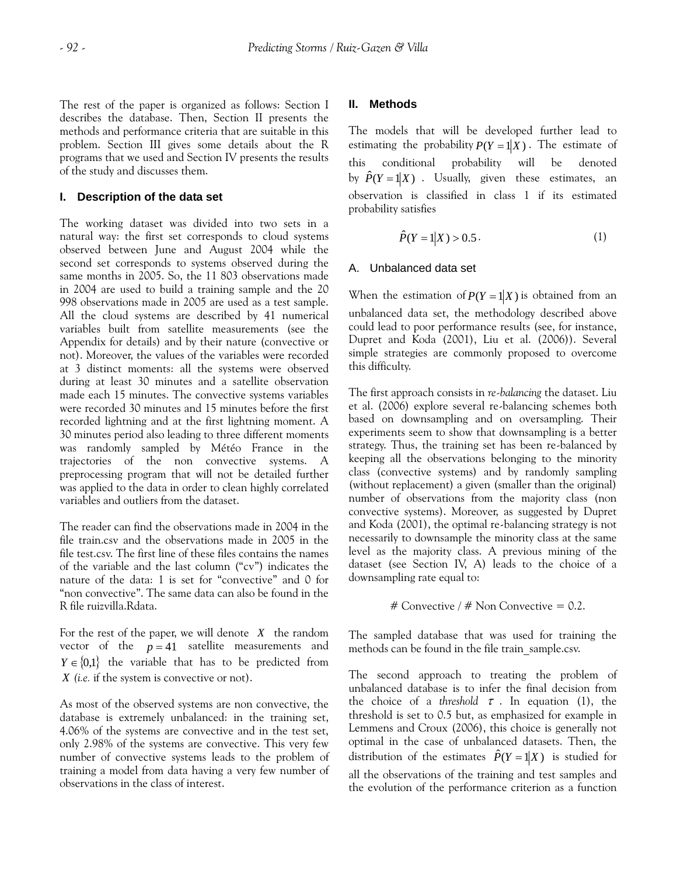The rest of the paper is organized as follows: Section I describes the database. Then, Section II presents the methods and performance criteria that are suitable in this problem. Section III gives some details about the R programs that we used and Section IV presents the results of the study and discusses them.

## **I. Description of the data set**

The working dataset was divided into two sets in a natural way: the first set corresponds to cloud systems observed between June and August 2004 while the second set corresponds to systems observed during the same months in 2005. So, the 11 803 observations made in 2004 are used to build a training sample and the 20 998 observations made in 2005 are used as a test sample. All the cloud systems are described by 41 numerical variables built from satellite measurements (see the Appendix for details) and by their nature (convective or not). Moreover, the values of the variables were recorded at 3 distinct moments: all the systems were observed during at least 30 minutes and a satellite observation made each 15 minutes. The convective systems variables were recorded 30 minutes and 15 minutes before the first recorded lightning and at the first lightning moment. A 30 minutes period also leading to three different moments was randomly sampled by Météo France in the trajectories of the non convective systems. A preprocessing program that will not be detailed further was applied to the data in order to clean highly correlated variables and outliers from the dataset.

The reader can find the observations made in 2004 in the file train.csv and the observations made in 2005 in the file test.csv. The first line of these files contains the names of the variable and the last column ("cv") indicates the nature of the data: 1 is set for "convective" and 0 for "non convective". The same data can also be found in the R file ruizvilla.Rdata.

For the rest of the paper, we will denote  $X$  the random vector of the  $p = 41$  satellite measurements and  $Y \in \{0,1\}$  the variable that has to be predicted from *X (i.e.* if the system is convective or not).

As most of the observed systems are non convective, the database is extremely unbalanced: in the training set, 4.06% of the systems are convective and in the test set, only 2.98% of the systems are convective. This very few number of convective systems leads to the problem of training a model from data having a very few number of observations in the class of interest.

## **II. Methods**

The models that will be developed further lead to estimating the probability  $P(Y = 1|X)$ . The estimate of this conditional probability will be denoted by  $\hat{P}(Y = 1|X)$ . Usually, given these estimates, an observation is classified in class 1 if its estimated probability satisfies

$$
\hat{P}(Y=1|X) > 0.5.
$$
 (1)

# A. Unbalanced data set

When the estimation of  $P(Y = 1|X)$  is obtained from an unbalanced data set, the methodology described above could lead to poor performance results (see, for instance, Dupret and Koda (2001), Liu et al. (2006)). Several simple strategies are commonly proposed to overcome this difficulty.

The first approach consists in *re-balancing* the dataset. Liu et al. (2006) explore several re-balancing schemes both based on downsampling and on oversampling. Their experiments seem to show that downsampling is a better strategy. Thus, the training set has been re-balanced by keeping all the observations belonging to the minority class (convective systems) and by randomly sampling (without replacement) a given (smaller than the original) number of observations from the majority class (non convective systems). Moreover, as suggested by Dupret and Koda (2001), the optimal re-balancing strategy is not necessarily to downsample the minority class at the same level as the majority class. A previous mining of the dataset (see Section IV, A) leads to the choice of a downsampling rate equal to:

## # Convective / # Non Convective = 0.2.

The sampled database that was used for training the methods can be found in the file train\_sample.csv.

The second approach to treating the problem of unbalanced database is to infer the final decision from the choice of a *threshold*  $\tau$ . In equation (1), the threshold is set to 0.5 but, as emphasized for example in Lemmens and Croux (2006), this choice is generally not optimal in the case of unbalanced datasets. Then, the distribution of the estimates  $\hat{P}(Y = 1|X)$  is studied for all the observations of the training and test samples and the evolution of the performance criterion as a function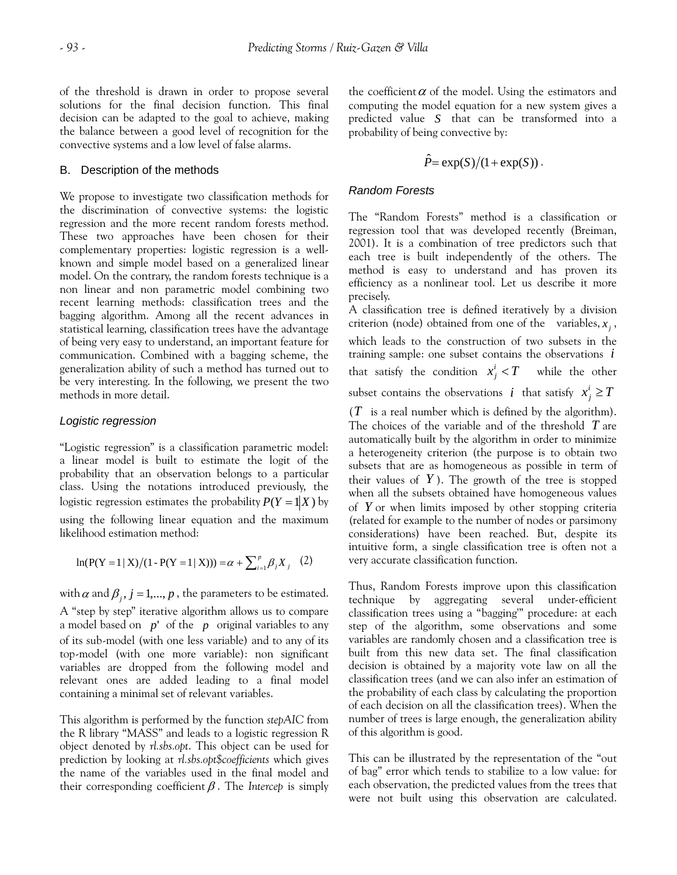of the threshold is drawn in order to propose several solutions for the final decision function. This final decision can be adapted to the goal to achieve, making the balance between a good level of recognition for the convective systems and a low level of false alarms.

## B. Description of the methods

We propose to investigate two classification methods for the discrimination of convective systems: the logistic regression and the more recent random forests method. These two approaches have been chosen for their complementary properties: logistic regression is a wellknown and simple model based on a generalized linear model. On the contrary, the random forests technique is a non linear and non parametric model combining two recent learning methods: classification trees and the bagging algorithm. Among all the recent advances in statistical learning, classification trees have the advantage of being very easy to understand, an important feature for communication. Combined with a bagging scheme, the generalization ability of such a method has turned out to be very interesting. In the following, we present the two methods in more detail.

## *Logistic regression*

"Logistic regression" is a classification parametric model: a linear model is built to estimate the logit of the probability that an observation belongs to a particular class. Using the notations introduced previously, the logistic regression estimates the probability  $P(Y = 1|X)$  by using the following linear equation and the maximum likelihood estimation method:

$$
\ln(P(Y=1 | X)/(1 - P(Y=1 | X))) = \alpha + \sum_{i=1}^{p} \beta_i X_i
$$
 (2)

with  $\alpha$  and  $\beta_j$ ,  $j = 1,..., p$ , the parameters to be estimated. a model based on *p*' of the *p* original variables to any A "step by step" iterative algorithm allows us to compare of its sub-model (with one less variable) and to any of its top-model (with one more variable): non significant variables are dropped from the following model and relevant ones are added leading to a final model containing a minimal set of relevant variables.

This algorithm is performed by the function *stepAIC* from the R library "MASS" and leads to a logistic regression R object denoted by *rl.sbs.opt*. This object can be used for prediction by looking at *rl.sbs.opt\$coefficients* which gives the name of the variables used in the final model and their corresponding coefficient β . The *Intercep* is simply the coefficient  $\alpha$  of the model. Using the estimators and computing the model equation for a new system gives a predicted value  $S$  that can be transformed into a probability of being convective by:

$$
\hat{P} = \exp(S)/(1 + \exp(S)).
$$

## *Random Forests*

The "Random Forests" method is a classification or regression tool that was developed recently (Breiman, 2001). It is a combination of tree predictors such that each tree is built independently of the others. The method is easy to understand and has proven its efficiency as a nonlinear tool. Let us describe it more precisely.

A classification tree is defined iteratively by a division criterion (node) obtained from one of the variables,  $x_j$ , which leads to the construction of two subsets in the training sample: one subset contains the observations *i* that satisfy the condition  $x_j^i < T$  while the other subset contains the observations  $i$  that satisfy  $x_j^i \geq T$ 

( *T* is a real number which is defined by the algorithm). The choices of the variable and of the threshold *T* are automatically built by the algorithm in order to minimize a heterogeneity criterion (the purpose is to obtain two subsets that are as homogeneous as possible in term of their values of  $Y$ ). The growth of the tree is stopped when all the subsets obtained have homogeneous values of *Y* or when limits imposed by other stopping criteria (related for example to the number of nodes or parsimony considerations) have been reached. But, despite its intuitive form, a single classification tree is often not a very accurate classification function.

Thus, Random Forests improve upon this classification technique by aggregating several under-efficient classification trees using a "bagging'" procedure: at each step of the algorithm, some observations and some variables are randomly chosen and a classification tree is built from this new data set. The final classification decision is obtained by a majority vote law on all the classification trees (and we can also infer an estimation of the probability of each class by calculating the proportion of each decision on all the classification trees). When the number of trees is large enough, the generalization ability of this algorithm is good.

This can be illustrated by the representation of the "out of bag" error which tends to stabilize to a low value: for each observation, the predicted values from the trees that were not built using this observation are calculated.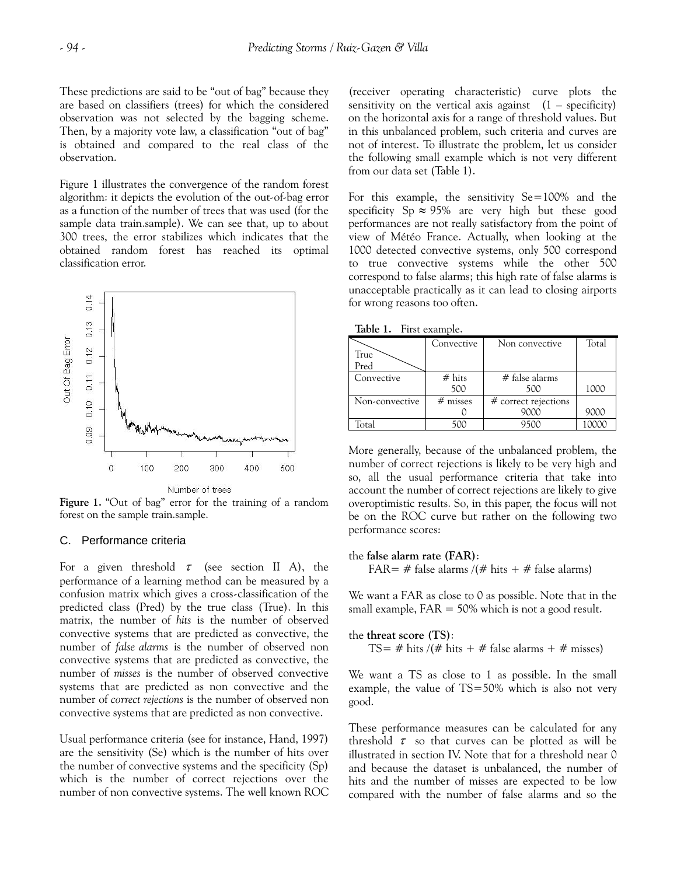These predictions are said to be "out of bag" because they are based on classifiers (trees) for which the considered observation was not selected by the bagging scheme. Then, by a majority vote law, a classification "out of bag" is obtained and compared to the real class of the observation.

Figure 1 illustrates the convergence of the random forest algorithm: it depicts the evolution of the out-of-bag error as a function of the number of trees that was used (for the sample data train.sample). We can see that, up to about 300 trees, the error stabilizes which indicates that the obtained random forest has reached its optimal classification error.



**Figure 1.** "Out of bag" error for the training of a random forest on the sample train.sample.

### C. Performance criteria

For a given threshold  $\tau$  (see section II A), the performance of a learning method can be measured by a confusion matrix which gives a cross-classification of the predicted class (Pred) by the true class (True). In this matrix, the number of *hits* is the number of observed convective systems that are predicted as convective, the number of *false alarms* is the number of observed non convective systems that are predicted as convective, the number of *misses* is the number of observed convective systems that are predicted as non convective and the number of *correct rejections* is the number of observed non convective systems that are predicted as non convective.

Usual performance criteria (see for instance, Hand, 1997) are the sensitivity (Se) which is the number of hits over the number of convective systems and the specificity (Sp) which is the number of correct rejections over the number of non convective systems. The well known ROC

(receiver operating characteristic) curve plots the sensitivity on the vertical axis against  $(1 -$  specificity) on the horizontal axis for a range of threshold values. But in this unbalanced problem, such criteria and curves are not of interest. To illustrate the problem, let us consider the following small example which is not very different from our data set (Table 1).

For this example, the sensitivity Se=100% and the specificity Sp  $\approx$  95% are very high but these good performances are not really satisfactory from the point of view of Météo France. Actually, when looking at the 1000 detected convective systems, only 500 correspond to true convective systems while the other 500 correspond to false alarms; this high rate of false alarms is unacceptable practically as it can lead to closing airports for wrong reasons too often.

**Table 1.** First example.

|                | Convective | Non convective         | Total |
|----------------|------------|------------------------|-------|
| True           |            |                        |       |
| Pred           |            |                        |       |
| Convective     | # hits     | $#$ false alarms       |       |
|                | 500        | 500                    | 1000  |
| Non-convective | $#$ misses | $#$ correct rejections |       |
|                |            | 9000                   | 9000  |
| Fotal          | 500        | 9500                   | LOOOC |

More generally, because of the unbalanced problem, the number of correct rejections is likely to be very high and so, all the usual performance criteria that take into account the number of correct rejections are likely to give overoptimistic results. So, in this paper, the focus will not be on the ROC curve but rather on the following two performance scores:

#### the **false alarm rate (FAR)**:

FAR= # false alarms /(# hits + # false alarms)

We want a FAR as close to 0 as possible. Note that in the small example,  $FAR = 50\%$  which is not a good result.

the **threat score (TS)**:

TS= # hits /(# hits + # false alarms + # misses)

We want a TS as close to 1 as possible. In the small example, the value of TS=50% which is also not very good.

These performance measures can be calculated for any threshold  $\tau$  so that curves can be plotted as will be illustrated in section IV. Note that for a threshold near 0 and because the dataset is unbalanced, the number of hits and the number of misses are expected to be low compared with the number of false alarms and so the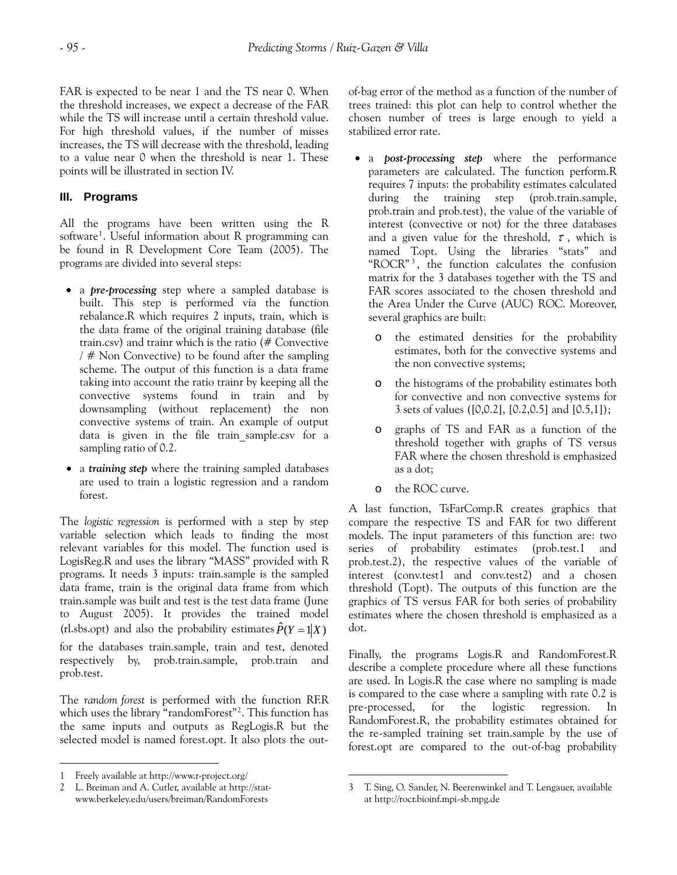FAR is expected to be near 1 and the TS near 0. When the threshold increases, we expect a decrease of the FAR while the TS will increase until a certain threshold value. For high threshold values, if the number of misses increases, the TS will decrease with the threshold, leading to a value near 0 when the threshold is near 1. These points will be illustrated in section IV.

# **III. Programs**

programs are divided into several steps: All the programs have been written using the R software<sup>[1](#page-4-0)</sup>. Useful information about R programming can be found in R Development Core Team (2005). The

- a *pre-processing* step where a sampled database is built. This step is performed via the function rebalance.R which requires 2 inputs, train, which is the data frame of the original training database (file train.csv) and trainr which is the ratio (# Convective / # Non Convective) to be found after the sampling scheme. The output of this function is a data frame taking into account the ratio trainr by keeping all the convective systems found in train and by downsampling (without replacement) the non convective systems of train. An example of output data is given in the file train\_sample.csv for a sampling ratio of 0.2.
- a *training step* where the training sampled databases are used to train a logistic regression and a random forest.

The *logistic regression* is performed with a step by step variable selection which leads to finding the most relevant variables for this model. The function used is LogisReg.R and uses the library "MASS" provided with R programs. It needs 3 inputs: train.sample is the sampled data frame, train is the original data frame from which train.sample was built and test is the test data frame (June to August 2005). It provides the trained model (rl.sbs.opt) and also the probability estimates  $\hat{P}(Y = 1|X)$ for the databases train.sample, train and test, denoted respectively by, prob.train.sample, prob.train and prob.test.

The *random forest* is performed with the function RF.R which uses the library "randomForest"<sup>[2](#page-4-1)</sup>. This function has the same inputs and outputs as RegLogis.R but the selected model is named forest.opt. It also plots the out-

 $\overline{a}$ 

of-bag error of the method as a function of the number of trees trained: this plot can help to control whether the chosen number of trees is large enough to yield a stabilized error rate.

- a *post-processing step* where the performance parameters are calculated. The function perform.R requires 7 inputs: the probability estimates calculated during the training step (prob.train.sample, prob.train and prob.test), the value of the variable of interest (convective or not) for the three databases and a given value for the threshold,  $\tau$ , which is named T.opt. Using the libraries "stats" and "ROCR" [3](#page-4-1) , the function calculates the confusion matrix for the 3 databases together with the TS and FAR scores associated to the chosen threshold and the Area Under the Curve (AUC) ROC. Moreover, several graphics are built:
	- o the estimated densities for the probability estimates, both for the convective systems and the non convective systems;
	- o the histograms of the probability estimates both for convective and non convective systems for 3 sets of values ([0,0.2], [0.2,0.5] and [0.5,1]);
	- o graphs of TS and FAR as a function of the threshold together with graphs of TS versus FAR where the chosen threshold is emphasized as a dot;
	- o the ROC curve.

A last function, TsFarComp.R creates graphics that compare the respective TS and FAR for two different models. The input parameters of this function are: two series of probability estimates (prob.test.1 and prob.test.2), the respective values of the variable of interest (conv.test1 and conv.test2) and a chosen threshold (T.opt). The outputs of this function are the graphics of TS versus FAR for both series of probability estimates where the chosen threshold is emphasized as a dot.

Finally, the programs Logis.R and RandomForest.R describe a complete procedure where all these functions are used. In Logis.R the case where no sampling is made is compared to the case where a sampling with rate 0.2 is pre-processed, for the logistic regression. In RandomForest.R, the probability estimates obtained for the re-sampled training set train.sample by the use of forest.opt are compared to the out-of-bag probability

<span id="page-4-0"></span><sup>1</sup> Freely available at http://www.r-project.org/

<span id="page-4-1"></span><sup>2</sup> L. Breiman and A. Cutler, available at http://statwww.berkeley.edu/users/breiman/RandomForests

<sup>1</sup> 3 T. Sing, O. Sander, N. Beerenwinkel and T. Lengauer, available at http://rocr.bioinf.mpi-sb.mpg.de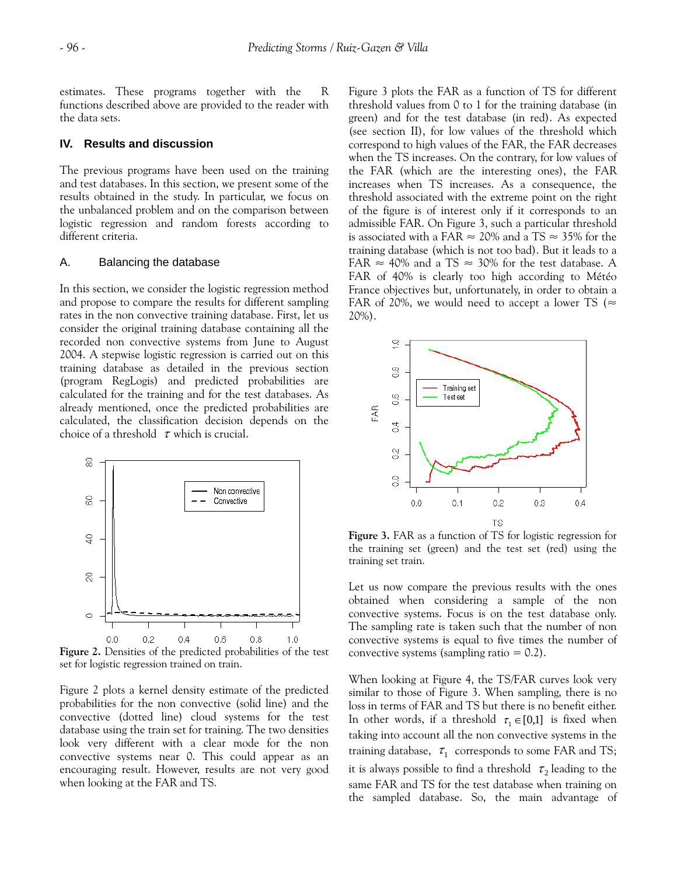estimates. These programs together with the R functions described above are provided to the reader with the data sets.

### **IV. Results and discussion**

The previous programs have been used on the training and test databases. In this section, we present some of the results obtained in the study. In particular, we focus on the unbalanced problem and on the comparison between logistic regression and random forests according to different criteria.

#### A. Balancing the database

In this section, we consider the logistic regression method and propose to compare the results for different sampling rates in the non convective training database. First, let us consider the original training database containing all the recorded non convective systems from June to August 2004. A stepwise logistic regression is carried out on this training database as detailed in the previous section (program RegLogis) and predicted probabilities are calculated for the training and for the test databases. As already mentioned, once the predicted probabilities are calculated, the classification decision depends on the choice of a threshold  $\tau$  which is crucial.



**Figure 2.** Densities of the predicted probabilities of the test set for logistic regression trained on train.

Figure 2 plots a kernel density estimate of the predicted probabilities for the non convective (solid line) and the convective (dotted line) cloud systems for the test database using the train set for training. The two densities look very different with a clear mode for the non convective systems near 0. This could appear as an encouraging result. However, results are not very good when looking at the FAR and TS.

Figure 3 plots the FAR as a function of TS for different threshold values from 0 to 1 for the training database (in green) and for the test database (in red). As expected (see section II), for low values of the threshold which correspond to high values of the FAR, the FAR decreases when the TS increases. On the contrary, for low values of the FAR (which are the interesting ones), the FAR increases when TS increases. As a consequence, the threshold associated with the extreme point on the right of the figure is of interest only if it corresponds to an admissible FAR. On Figure 3, such a particular threshold is associated with a FAR  $\approx$  20% and a TS  $\approx$  35% for the training database (which is not too bad). But it leads to a FAR  $\approx$  40% and a TS  $\approx$  30% for the test database. A FAR of 40% is clearly too high according to Météo France objectives but, unfortunately, in order to obtain a FAR of 20%, we would need to accept a lower TS ( $\approx$ 20%).



**Figure 3.** FAR as a function of TS for logistic regression for the training set (green) and the test set (red) using the training set train.

Let us now compare the previous results with the ones obtained when considering a sample of the non convective systems. Focus is on the test database only. The sampling rate is taken such that the number of non convective systems is equal to five times the number of convective systems (sampling ratio  $= 0.2$ ).

When looking at Figure 4, the TS/FAR curves look very similar to those of Figure 3. When sampling, there is no loss in terms of FAR and TS but there is no benefit either. In other words, if a threshold  $\tau_1 \in [0,1]$  is fixed when taking into account all the non convective systems in the training database,  $\tau_1$  corresponds to some FAR and TS; it is always possible to find a threshold  $\tau_2$  leading to the same FAR and TS for the test database when training on the sampled database. So, the main advantage of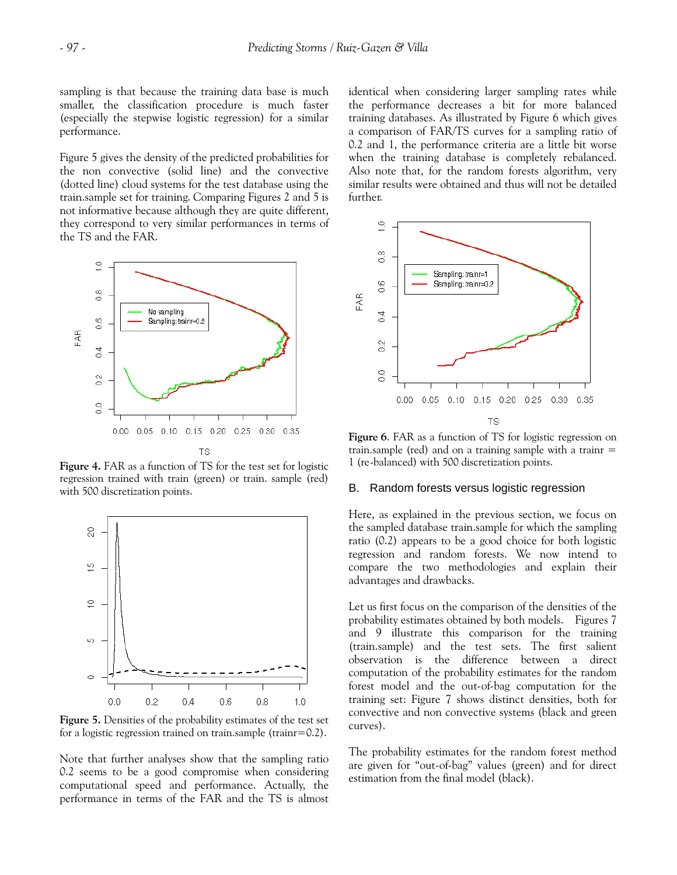sampling is that because the training data base is much smaller, the classification procedure is much faster (especially the stepwise logistic regression) for a similar performance.

Figure 5 gives the density of the predicted probabilities for the non convective (solid line) and the convective (dotted line) cloud systems for the test database using the train.sample set for training. Comparing Figures 2 and 5 is not informative because although they are quite different, they correspond to very similar performances in terms of the TS and the FAR.



**Figure 4.** FAR as a function of TS for the test set for logistic regression trained with train (green) or train. sample (red) with 500 discretization points.



**Figure 5.** Densities of the probability estimates of the test set for a logistic regression trained on train.sample (trainr=0.2).

Note that further analyses show that the sampling ratio 0.2 seems to be a good compromise when considering computational speed and performance. Actually, the performance in terms of the FAR and the TS is almost identical when considering larger sampling rates while the performance decreases a bit for more balanced training databases. As illustrated by Figure 6 which gives a comparison of FAR/TS curves for a sampling ratio of 0.2 and 1, the performance criteria are a little bit worse when the training database is completely rebalanced. Also note that, for the random forests algorithm, very similar results were obtained and thus will not be detailed further.



**Figure 6**. FAR as a function of TS for logistic regression on train.sample (red) and on a training sample with a trainr  $=$ 1 (re-balanced) with 500 discretization points.

#### B. Random forests versus logistic regression

Here, as explained in the previous section, we focus on the sampled database train.sample for which the sampling ratio (0.2) appears to be a good choice for both logistic regression and random forests. We now intend to compare the two methodologies and explain their advantages and drawbacks.

Let us first focus on the comparison of the densities of the probability estimates obtained by both models. Figures 7 and 9 illustrate this comparison for the training (train.sample) and the test sets. The first salient observation is the difference between a direct computation of the probability estimates for the random forest model and the out-of-bag computation for the training set: Figure 7 shows distinct densities, both for convective and non convective systems (black and green curves).

The probability estimates for the random forest method are given for "out-of-bag" values (green) and for direct estimation from the final model (black).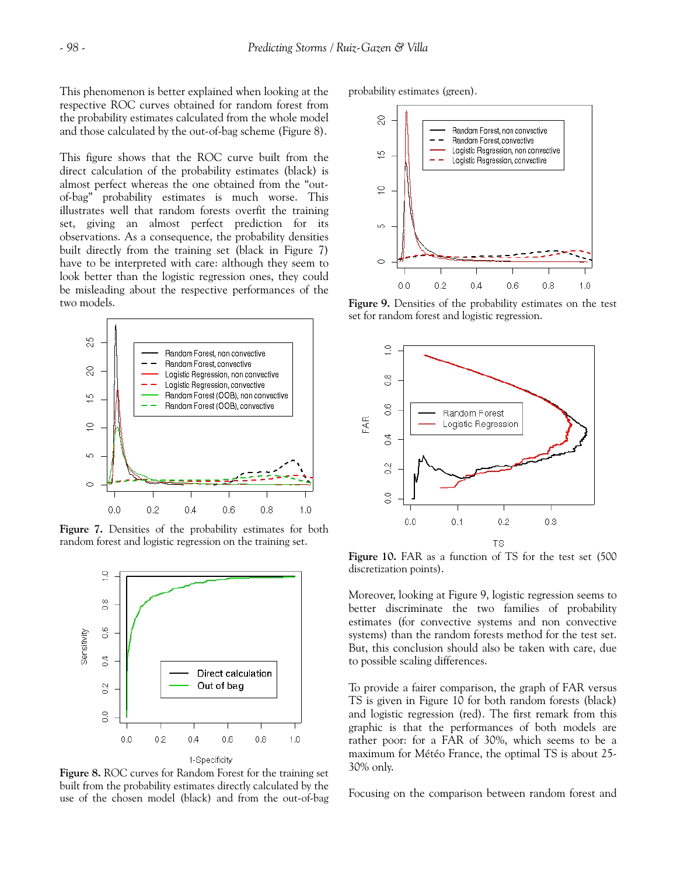This phenomenon is better explained when looking at the respective ROC curves obtained for random forest from the probability estimates calculated from the whole model and those calculated by the out-of-bag scheme (Figure 8).

This figure shows that the ROC curve built from the direct calculation of the probability estimates (black) is almost perfect whereas the one obtained from the "outof-bag" probability estimates is much worse. This illustrates well that random forests overfit the training set, giving an almost perfect prediction for its observations. As a consequence, the probability densities built directly from the training set (black in Figure 7) have to be interpreted with care: although they seem to look better than the logistic regression ones, they could be misleading about the respective performances of the two models.



**Figure 7.** Densities of the probability estimates for both random forest and logistic regression on the training set.



**Figure 8.** ROC curves for Random Forest for the training set built from the probability estimates directly calculated by the use of the chosen model (black) and from the out-of-bag

probability estimates (green).



**Figure 9.** Densities of the probability estimates on the test set for random forest and logistic regression.



**Figure 10.** FAR as a function of TS for the test set (500 discretization points).

Moreover, looking at Figure 9, logistic regression seems to better discriminate the two families of probability estimates (for convective systems and non convective systems) than the random forests method for the test set. But, this conclusion should also be taken with care, due to possible scaling differences.

To provide a fairer comparison, the graph of FAR versus TS is given in Figure 10 for both random forests (black) and logistic regression (red). The first remark from this graphic is that the performances of both models are rather poor: for a FAR of 30%, which seems to be a maximum for Météo France, the optimal TS is about 25- 30% only.

Focusing on the comparison between random forest and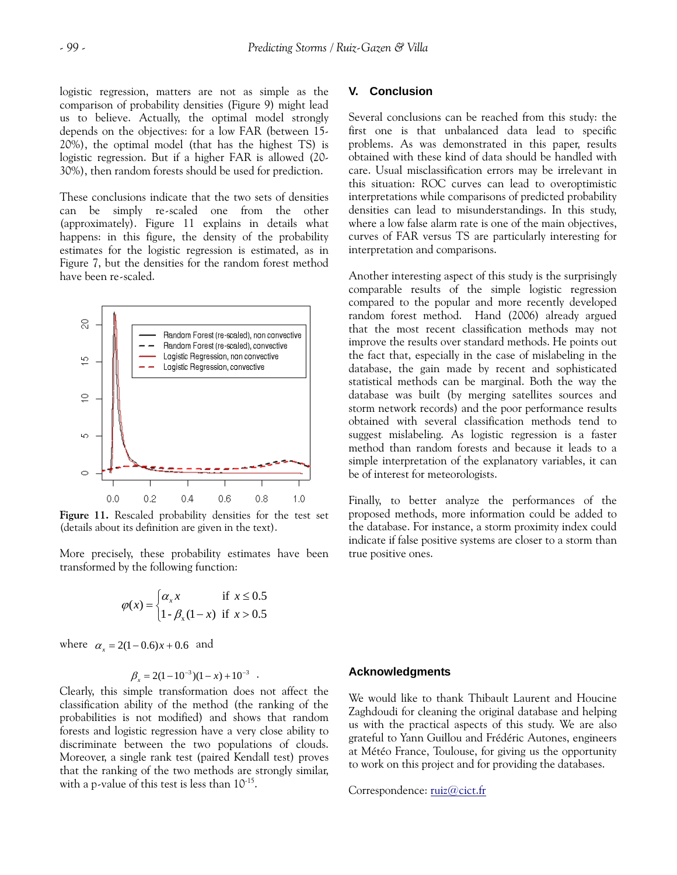logistic regression, matters are not as simple as the comparison of probability densities (Figure 9) might lead us to believe. Actually, the optimal model strongly depends on the objectives: for a low FAR (between 15- 20%), the optimal model (that has the highest TS) is logistic regression. But if a higher FAR is allowed (20- 30%), then random forests should be used for prediction.

These conclusions indicate that the two sets of densities can be simply re-scaled one from the other (approximately). Figure 11 explains in details what happens: in this figure, the density of the probability estimates for the logistic regression is estimated, as in Figure 7, but the densities for the random forest method have been re-scaled.



**Figure 11.** Rescaled probability densities for the test set (details about its definition are given in the text).

More precisely, these probability estimates have been transformed by the following function:

$$
\varphi(x) = \begin{cases} \alpha_x x & \text{if } x \le 0.5\\ 1 - \beta_x (1 - x) & \text{if } x > 0.5 \end{cases}
$$

where  $\alpha_x = 2(1-0.6)x + 0.6$  and

$$
\beta_x = 2(1-10^{-3})(1-x) + 10^{-3} \quad .
$$

Clearly, this simple transformation does not affect the classification ability of the method (the ranking of the probabilities is not modified) and shows that random forests and logistic regression have a very close ability to discriminate between the two populations of clouds. Moreover, a single rank test (paired Kendall test) proves that the ranking of the two methods are strongly similar, with a p-value of this test is less than  $10^{-15}$ .

#### **V. Conclusion**

Several conclusions can be reached from this study: the first one is that unbalanced data lead to specific problems. As was demonstrated in this paper, results obtained with these kind of data should be handled with care. Usual misclassification errors may be irrelevant in this situation: ROC curves can lead to overoptimistic interpretations while comparisons of predicted probability densities can lead to misunderstandings. In this study, where a low false alarm rate is one of the main objectives, curves of FAR versus TS are particularly interesting for interpretation and comparisons.

Another interesting aspect of this study is the surprisingly comparable results of the simple logistic regression compared to the popular and more recently developed random forest method. Hand (2006) already argued that the most recent classification methods may not improve the results over standard methods. He points out the fact that, especially in the case of mislabeling in the database, the gain made by recent and sophisticated statistical methods can be marginal. Both the way the database was built (by merging satellites sources and storm network records) and the poor performance results obtained with several classification methods tend to suggest mislabeling. As logistic regression is a faster method than random forests and because it leads to a simple interpretation of the explanatory variables, it can be of interest for meteorologists.

Finally, to better analyze the performances of the proposed methods, more information could be added to the database. For instance, a storm proximity index could indicate if false positive systems are closer to a storm than true positive ones.

#### **Acknowledgments**

We would like to thank Thibault Laurent and Houcine Zaghdoudi for cleaning the original database and helping us with the practical aspects of this study. We are also grateful to Yann Guillou and Frédéric Autones, engineers at Météo France, Toulouse, for giving us the opportunity to work on this project and for providing the databases.

Correspondence: [ruiz@cict.fr](mailto:ruiz@cict.fr)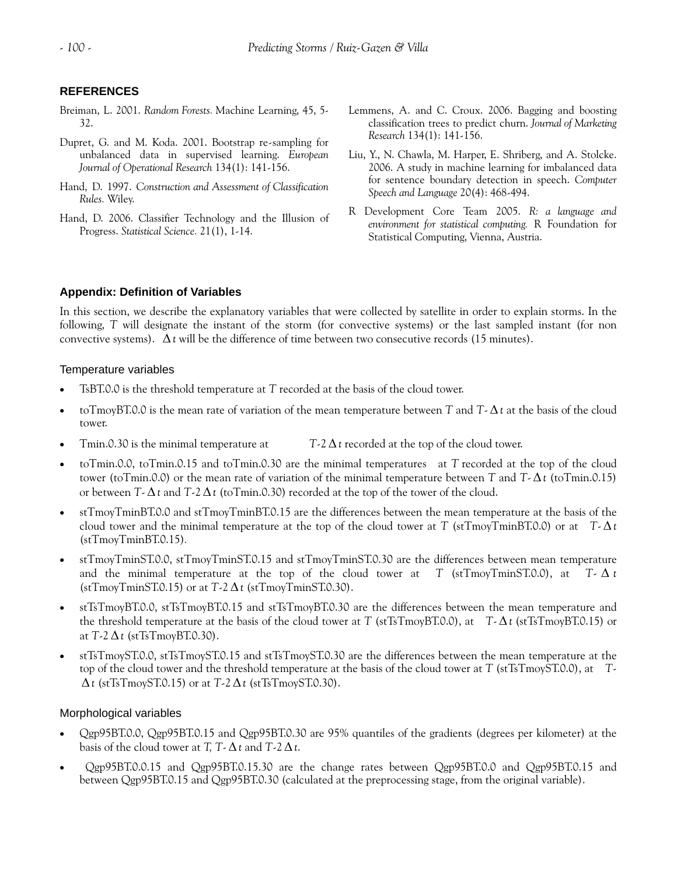# **REFERENCES**

- Breiman, L. 2001. *Random Forests.* Machine Learning, 45, 5- 32.
- Dupret, G. and M. Koda. 2001. Bootstrap re-sampling for unbalanced data in supervised learning. *European Journal of Operational Research* 134(1): 141-156.
- *Speech and Language* 20(4): 468-494. Hand, D. 1997. *Construction and Assessment of Classification Rules.* Wiley.
- Hand, D. 2006. Classifier Technology and the Illusion of Progress. *Statistical Science.* 21(1), 1-14.
- Lemmens, A. and C. Croux. 2006. Bagging and boosting classification trees to predict churn. *Journal of Marketing Research* 134(1): 141-156.
- Liu, Y., N. Chawla, M. Harper, E. Shriberg, and A. Stolcke. 2006. A study in machine learning for imbalanced data for sentence boundary detection in speech. *Computer*
- R Development Core Team 2005. *R: a language and environment for statistical computing.* R Foundation for Statistical Computing, Vienna, Austria.

# **Appendix: Definition of Variables**

In this section, we describe the explanatory variables that were collected by satellite in order to explain storms. In the following, *T* will designate the instant of the storm (for convective systems) or the last sampled instant (for non convective systems). Δ*t* will be the difference of time between two consecutive records (15 minutes).

# Temperature variables

- TsBT.0.0 is the threshold temperature at *T* recorded at the basis of the cloud tower.
- toTmoyBT.0.0 is the mean rate of variation of the mean temperature between *T* and *T* Δ*t* at the basis of the cloud tower.
- Tmin.0.30 is the minimal temperature at *T*-2 Δ*t* recorded at the top of the cloud tower.
- toTmin.0.0, toTmin.0.15 and toTmin.0.30 are the minimal temperatures at *T* recorded at the top of the cloud tower (toTmin.0.0) or the mean rate of variation of the minimal temperature between *T* and *T*-Δ*t* (toTmin.0.15) or between *T*-Δ*t* and *T*-2Δ*t* (toTmin.0.30) recorded at the top of the tower of the cloud.
- stTmoyTminBT.0.0 and stTmoyTminBT.0.15 are the differences between the mean temperature at the basis of the cloud tower and the minimal temperature at the top of the cloud tower at *T* (stTmoyTminBT.0.0) or at *T*- Δ*t*  (stTmoyTminBT.0.15)*.*
- stTmoyTminST.0.0, stTmoyTminST.0.15 and stTmoyTminST.0.30 are the differences between mean temperature and the minimal temperature at the top of the cloud tower at *T* (stTmoyTminST.0.0), at *T*- $\Delta t$ (stTmoyTminST.0.15) or at *T*-2 Δ*t* (stTmoyTminST.0.30).
- stTsTmoyBT.0.0, stTsTmoyBT.0.15 and stTsTmoyBT.0.30 are the differences between the mean temperature and the threshold temperature at the basis of the cloud tower at *T* (stTsTmoyBT.0.0), at *T*- Δ*t* (stTsTmoyBT.0.15) or at *T*-2Δ*t* (stTsTmoyBT.0.30).
- stTsTmoyST.0.0, stTsTmoyST.0.15 and stTsTmoyST.0.30 are the differences between the mean temperature at the top of the cloud tower and the threshold temperature at the basis of the cloud tower at *T* (stTsTmoyST.0.0), at *T*-Δ*t* (stTsTmoyST.0.15) or at *T*-2Δ*t* (stTsTmoyST.0.30).

# Morphological variables

- Qgp95BT.0.0, Qgp95BT.0.15 and Qgp95BT.0.30 are 95% quantiles of the gradients (degrees per kilometer) at the basis of the cloud tower at *T*,  $T - \Delta t$  and  $T - 2\Delta t$ .
- Qgp95BT.0.0.15 and Qgp95BT.0.15.30 are the change rates between Qgp95BT.0.0 and Qgp95BT.0.15 and between Qgp95BT.0.15 and Qgp95BT.0.30 (calculated at the preprocessing stage, from the original variable).